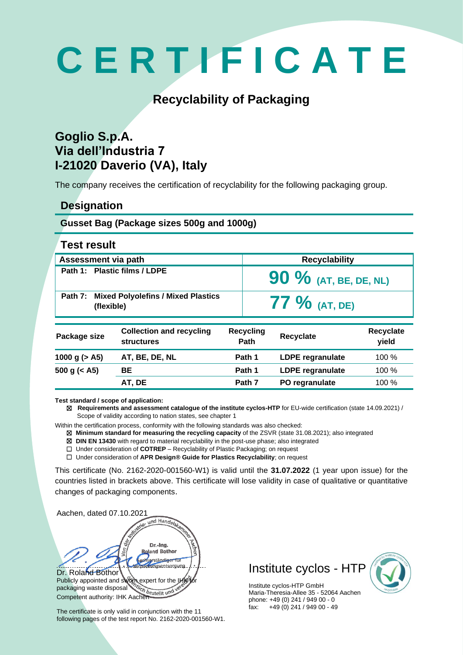# **C E R T I F I C A T E**

## **Recyclability of Packaging**

### **Goglio S.p.A. Via dell'Industria 7 I-21020 Daverio (VA), Italy**

The company receives the certification of recyclability for the following packaging group.

#### **Designation**

#### **Gusset Bag (Package sizes 500g and 1000g)**

| <b>Test result</b> |  |
|--------------------|--|
|--------------------|--|

| Assessment via path          |                                                      |                          | <b>Recyclability</b>    |                           |
|------------------------------|------------------------------------------------------|--------------------------|-------------------------|---------------------------|
| Path 1: Plastic films / LDPE |                                                      | 90 % (AT, BE, DE, NL)    |                         |                           |
| Path 7:<br>(flexible)        | <b>Mixed Polyolefins / Mixed Plastics</b>            |                          | $77\%$ (at, de)         |                           |
| Package size                 | <b>Collection and recycling</b><br><b>structures</b> | <b>Recycling</b><br>Path | <b>Recyclate</b>        | <b>Recyclate</b><br>yield |
| 1000 g $(> A5)$              | AT, BE, DE, NL                                       | Path 1                   | <b>LDPE regranulate</b> | 100 %                     |
| 500 g $(<$ A5)               | BE.                                                  | Path 1                   | <b>LDPE</b> regranulate | 100 %                     |
|                              | AT, DE                                               | Path 7                   | PO regranulate          | 100 %                     |

**Test standard / scope of application:** 

☒ **Requirements and assessment catalogue of the institute cyclos-HTP** for EU-wide certification (state 14.09.2021) / Scope of validity according to nation states, see chapter 1

Within the certification process, conformity with the following standards was also checked:

☒ **Minimum standard for measuring the recycling capacity** of the ZSVR (state 31.08.2021); also integrated

☒ **DIN EN 13430** with regard to material recyclability in the post-use phase; also integrated

☐ Under consideration of **COTREP** – Recyclability of Plastic Packaging; on request

☐ Under consideration of **APR Design® Guide for Plastics Recyclability**; on request

This certificate (No. 2162-2020-001560-W1) is valid until the **31.07.2022** (1 year upon issue) for the countries listed in brackets above. This certificate will lose validity in case of qualitative or quantitative changes of packaging components.

| Aachen, dated 07.10.2021                                                                                 |  |  |
|----------------------------------------------------------------------------------------------------------|--|--|
|                                                                                                          |  |  |
| whistrie- und Handelskammer                                                                              |  |  |
| a <sub>er</sub><br>Dr.-Ing.                                                                              |  |  |
| <b>Roland Bothor</b>                                                                                     |  |  |
| Sachverständiger für<br>verbackungsentsorgung                                                            |  |  |
| Dr. Roland Bothor                                                                                        |  |  |
| Publicly appointed and sworn expert for the IMK for<br>packaging waste disposal and bestellt und vertext |  |  |
|                                                                                                          |  |  |
| Competent authority: IHK Aachen                                                                          |  |  |

The certificate is only valid in conjunction with the 11 following pages of the test report No. 2162-2020-001560-W1. Institute cyclos - HTP



Institute cyclos-HTP GmbH Maria-Theresia-Allee 35 - 52064 Aachen phone: +49 (0) 241 / 949 00 - 0 fax: +49 (0) 241 / 949 00 - 49